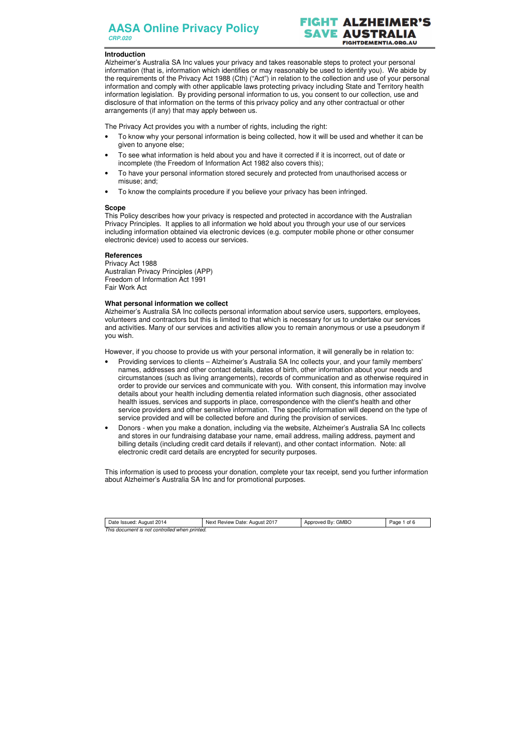# **ALZHEIMER** SAVE AUSTRALIA **FIGHTDEMENTIA.ORG.AU**

| Date Issued: August 2014                      | Next Review Date: August 2017 | Approved By: GMBO | 1 of 6<br>Page |
|-----------------------------------------------|-------------------------------|-------------------|----------------|
| This document is not controlled when printed. |                               |                   |                |

## **Introduction**

Alzheimer's Australia SA Inc values your privacy and takes reasonable steps to protect your personal information (that is, information which identifies or may reasonably be used to identify you). We abide by the requirements of the Privacy Act 1988 (Cth) ("Act") in relation to the collection and use of your personal information and comply with other applicable laws protecting privacy including State and Territory health information legislation. By providing personal information to us, you consent to our collection, use and disclosure of that information on the terms of this privacy policy and any other contractual or other arrangements (if any) that may apply between us.

The Privacy Act provides you with a number of rights, including the right:

- To know why your personal information is being collected, how it will be used and whether it can be given to anyone else;
- To see what information is held about you and have it corrected if it is incorrect, out of date or incomplete (the Freedom of Information Act 1982 also covers this);
- To have your personal information stored securely and protected from unauthorised access or misuse; and;
- To know the complaints procedure if you believe your privacy has been infringed.

### **Scope**

This Policy describes how your privacy is respected and protected in accordance with the Australian Privacy Principles. It applies to all information we hold about you through your use of our services including information obtained via electronic devices (e.g. computer mobile phone or other consumer electronic device) used to access our services.

### **References**

Privacy Act 1988 Australian Privacy Principles (APP) Freedom of Information Act 1991 Fair Work Act

## **What personal information we collect**

Alzheimer's Australia SA Inc collects personal information about service users, supporters, employees, volunteers and contractors but this is limited to that which is necessary for us to undertake our services and activities. Many of our services and activities allow you to remain anonymous or use a pseudonym if you wish.

However, if you choose to provide us with your personal information, it will generally be in relation to:

- Providing services to clients Alzheimer's Australia SA Inc collects your, and your family members' names, addresses and other contact details, dates of birth, other information about your needs and circumstances (such as living arrangements), records of communication and as otherwise required in order to provide our services and communicate with you. With consent, this information may involve details about your health including dementia related information such diagnosis, other associated health issues, services and supports in place, correspondence with the client's health and other service providers and other sensitive information. The specific information will depend on the type of service provided and will be collected before and during the provision of services.
- Donors when you make a donation, including via the website, Alzheimer's Australia SA Inc collects and stores in our fundraising database your name, email address, mailing address, payment and billing details (including credit card details if relevant), and other contact information. Note: all electronic credit card details are encrypted for security purposes.

This information is used to process your donation, complete your tax receipt, send you further information about Alzheimer's Australia SA Inc and for promotional purposes.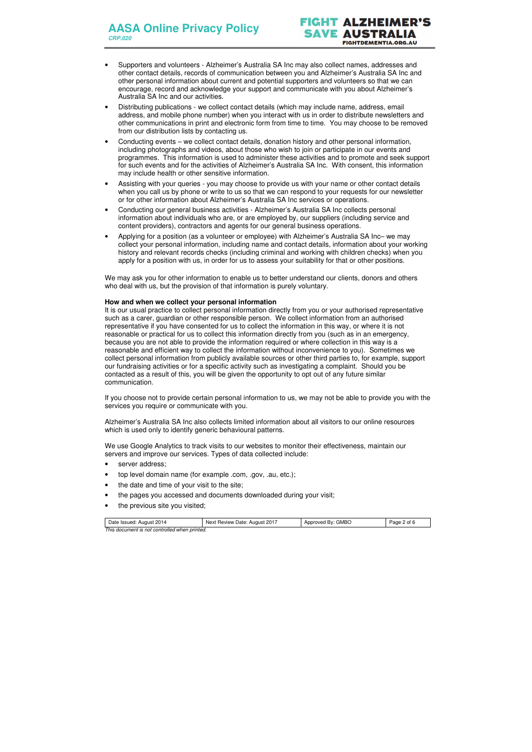# T ALZHEIME SAVE AUSTRALIA **FIGHTDEMENTIA.ORG.AU**

| Date Issued: August 2014                      | Next Review Date: August 2017 | Approved By: GMBO | Page 2 of 6 |  |
|-----------------------------------------------|-------------------------------|-------------------|-------------|--|
| This document is not controlled when printed. |                               |                   |             |  |

- Supporters and volunteers Alzheimer's Australia SA Inc may also collect names, addresses and other contact details, records of communication between you and Alzheimer's Australia SA Inc and other personal information about current and potential supporters and volunteers so that we can encourage, record and acknowledge your support and communicate with you about Alzheimer's Australia SA Inc and our activities.
- Distributing publications we collect contact details (which may include name, address, email address, and mobile phone number) when you interact with us in order to distribute newsletters and other communications in print and electronic form from time to time. You may choose to be removed from our distribution lists by contacting us.
- Conducting events we collect contact details, donation history and other personal information, including photographs and videos, about those who wish to join or participate in our events and programmes. This information is used to administer these activities and to promote and seek support for such events and for the activities of Alzheimer's Australia SA Inc. With consent, this information may include health or other sensitive information.
- Assisting with your queries you may choose to provide us with your name or other contact details when you call us by phone or write to us so that we can respond to your requests for our newsletter or for other information about Alzheimer's Australia SA Inc services or operations.
- Conducting our general business activities Alzheimer's Australia SA Inc collects personal information about individuals who are, or are employed by, our suppliers (including service and content providers), contractors and agents for our general business operations.
- Applying for a position (as a volunteer or employee) with Alzheimer's Australia SA Inc– we may collect your personal information, including name and contact details, information about your working history and relevant records checks (including criminal and working with children checks) when you apply for a position with us, in order for us to assess your suitability for that or other positions.

We may ask you for other information to enable us to better understand our clients, donors and others who deal with us, but the provision of that information is purely voluntary.

## **How and when we collect your personal information**

It is our usual practice to collect personal information directly from you or your authorised representative such as a carer, guardian or other responsible person. We collect information from an authorised representative if you have consented for us to collect the information in this way, or where it is not reasonable or practical for us to collect this information directly from you (such as in an emergency, because you are not able to provide the information required or where collection in this way is a reasonable and efficient way to collect the information without inconvenience to you). Sometimes we collect personal information from publicly available sources or other third parties to, for example, support our fundraising activities or for a specific activity such as investigating a complaint. Should you be contacted as a result of this, you will be given the opportunity to opt out of any future similar communication.

If you choose not to provide certain personal information to us, we may not be able to provide you with the services you require or communicate with you.

Alzheimer's Australia SA Inc also collects limited information about all visitors to our online resources which is used only to identify generic behavioural patterns.

We use Google Analytics to track visits to our websites to monitor their effectiveness, maintain our servers and improve our services. Types of data collected include:

- server address;
- top level domain name (for example .com, .gov, .au, etc.);
- the date and time of your visit to the site;
- the pages you accessed and documents downloaded during your visit;
- the previous site you visited;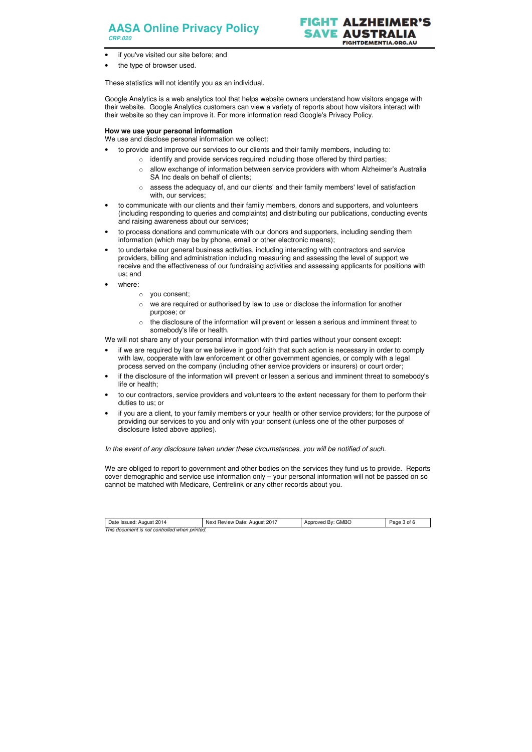## **AASA Online Privacy Policy CRP.020**



- if you've visited our site before; and
- the type of browser used.

| Date Issued: August 2014                      | Next Review Date: August 2017 | Approved By: GMBO | Page 3 of 6 |
|-----------------------------------------------|-------------------------------|-------------------|-------------|
| This document is not controlled when printed. |                               |                   |             |

These statistics will not identify you as an individual.

Google Analytics is a web analytics tool that helps website owners understand how visitors engage with their website. Google Analytics customers can view a variety of reports about how visitors interact with their website so they can improve it. For more information read Google's Privacy Policy.

## **How we use your personal information**

We use and disclose personal information we collect:

- to provide and improve our services to our clients and their family members, including to:
	- o identify and provide services required including those offered by third parties;
	- o allow exchange of information between service providers with whom Alzheimer's Australia SA Inc deals on behalf of clients;
	- o assess the adequacy of, and our clients' and their family members' level of satisfaction with, our services;
- to communicate with our clients and their family members, donors and supporters, and volunteers (including responding to queries and complaints) and distributing our publications, conducting events and raising awareness about our services;
- to process donations and communicate with our donors and supporters, including sending them information (which may be by phone, email or other electronic means);
- to undertake our general business activities, including interacting with contractors and service providers, billing and administration including measuring and assessing the level of support we receive and the effectiveness of our fundraising activities and assessing applicants for positions with us; and
- where:
	- o you consent;
	- $\circ$  we are required or authorised by law to use or disclose the information for another purpose; or
	- $\circ$  the disclosure of the information will prevent or lessen a serious and imminent threat to somebody's life or health.

We will not share any of your personal information with third parties without your consent except:

- if we are required by law or we believe in good faith that such action is necessary in order to comply with law, cooperate with law enforcement or other government agencies, or comply with a legal process served on the company (including other service providers or insurers) or court order;
- if the disclosure of the information will prevent or lessen a serious and imminent threat to somebody's life or health;
- to our contractors, service providers and volunteers to the extent necessary for them to perform their duties to us; or
- if you are a client, to your family members or your health or other service providers; for the purpose of providing our services to you and only with your consent (unless one of the other purposes of disclosure listed above applies).

In the event of any disclosure taken under these circumstances, you will be notified of such.

We are obliged to report to government and other bodies on the services they fund us to provide. Reports cover demographic and service use information only – your personal information will not be passed on so cannot be matched with Medicare, Centrelink or any other records about you.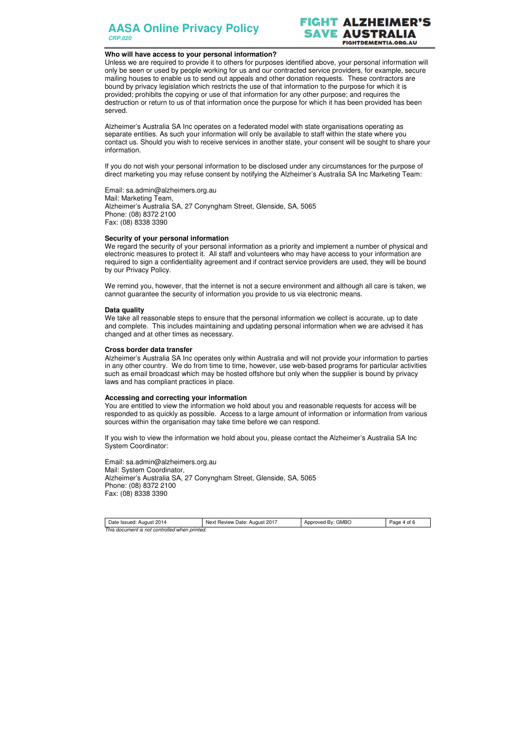**AASA Online Privacy Policy CRP.020**

## **ALZHEIM** AUSTRALIA **FIGHTDEMENTIA.ORG.AU**

#### **Who will have access to your personal information?**

Unless we are required to provide it to others for purposes identified above, your personal information will only be seen or used by people working for us and our contracted service providers, for example, secure mailing houses to enable us to send out appeals and other donation requests. These contractors are bound by privacy legislation which restricts the use of that information to the purpose for which it is provided; prohibits the copying or use of that information for any other purpose; and requires the destruction or return to us of that information once the purpose for which it has been provided has been served.

Alzheimer's Australia SA Inc operates on a federated model with state organisations operating as separate entities. As such your information will only be available to staff within the state where you contact us. Should you wish to receive services in another state, your consent will be sought to share your information.

We remind you, however, that the internet is not a secure environment and although all care is taken, we cannot guarantee the security of information you provide to us via electronic means.

If you do not wish your personal information to be disclosed under any circumstances for the purpose of direct marketing you may refuse consent by notifying the Alzheimer's Australia SA Inc Marketing Team:

Email: sa.admin@alzheimers.org.au Mail: Marketing Team, Alzheimer's Australia SA, 27 Conyngham Street, Glenside, SA, 5065 Phone: (08) 8372 2100 Fax: (08) 8338 3390

#### **Security of your personal information**

We regard the security of your personal information as a priority and implement a number of physical and electronic measures to protect it. All staff and volunteers who may have access to your information are required to sign a confidentiality agreement and if contract service providers are used, they will be bound by our Privacy Policy.

#### **Data quality**

We take all reasonable steps to ensure that the personal information we collect is accurate, up to date and complete. This includes maintaining and updating personal information when we are advised it has changed and at other times as necessary.

#### **Cross border data transfer**

Alzheimer's Australia SA Inc operates only within Australia and will not provide your information to parties in any other country. We do from time to time, however, use web-based programs for particular activities such as email broadcast which may be hosted offshore but only when the supplier is bound by privacy laws and has compliant practices in place.

#### **Accessing and correcting your information**

You are entitled to view the information we hold about you and reasonable requests for access will be responded to as quickly as possible. Access to a large amount of information or information from various sources within the organisation may take time before we can respond.

If you wish to view the information we hold about you, please contact the Alzheimer's Australia SA Inc System Coordinator:

Email: sa.admin@alzheimers.org.au Mail: System Coordinator, Alzheimer's Australia SA, 27 Conyngham Street, Glenside, SA, 5065 Phone: (08) 8372 2100 Fax: (08) 8338 3390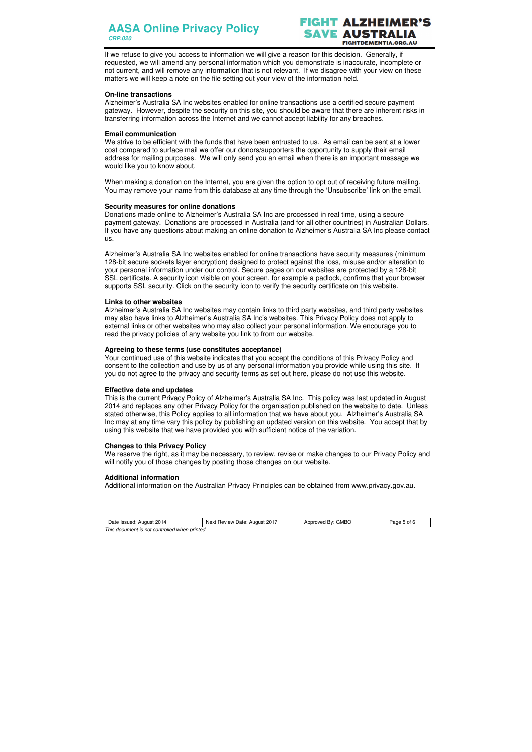## **AASA Online Privacy Policy CRP.020**



| Date Issued: August 2014                      | Next Review Date: August 2017 | Approved By: GMBO | Page 5 of 6 |  |
|-----------------------------------------------|-------------------------------|-------------------|-------------|--|
| This document is not controlled when printed. |                               |                   |             |  |

If we refuse to give you access to information we will give a reason for this decision. Generally, if requested, we will amend any personal information which you demonstrate is inaccurate, incomplete or not current, and will remove any information that is not relevant. If we disagree with your view on these matters we will keep a note on the file setting out your view of the information held.

#### **On-line transactions**

We strive to be efficient with the funds that have been entrusted to us. As email can be sent at a lower cost compared to surface mail we offer our donors/supporters the opportunity to supply their email address for mailing purposes. We will only send you an email when there is an important message we would like you to know about.

Alzheimer's Australia SA Inc websites enabled for online transactions use a certified secure payment gateway. However, despite the security on this site, you should be aware that there are inherent risks in transferring information across the Internet and we cannot accept liability for any breaches.

### **Email communication**

When making a donation on the Internet, you are given the option to opt out of receiving future mailing. You may remove your name from this database at any time through the 'Unsubscribe' link on the email.

### **Security measures for online donations**

Donations made online to Alzheimer's Australia SA Inc are processed in real time, using a secure payment gateway. Donations are processed in Australia (and for all other countries) in Australian Dollars. If you have any questions about making an online donation to Alzheimer's Australia SA Inc please contact us.

Alzheimer's Australia SA Inc websites enabled for online transactions have security measures (minimum 128-bit secure sockets layer encryption) designed to protect against the loss, misuse and/or alteration to your personal information under our control. Secure pages on our websites are protected by a 128-bit SSL certificate. A security icon visible on your screen, for example a padlock, confirms that your browser supports SSL security. Click on the security icon to verify the security certificate on this website.

## **Links to other websites**

Alzheimer's Australia SA Inc websites may contain links to third party websites, and third party websites may also have links to Alzheimer's Australia SA Inc's websites. This Privacy Policy does not apply to external links or other websites who may also collect your personal information. We encourage you to read the privacy policies of any website you link to from our website.

## **Agreeing to these terms (use constitutes acceptance)**

Your continued use of this website indicates that you accept the conditions of this Privacy Policy and consent to the collection and use by us of any personal information you provide while using this site. If you do not agree to the privacy and security terms as set out here, please do not use this website.

## **Effective date and updates**

This is the current Privacy Policy of Alzheimer's Australia SA Inc. This policy was last updated in August 2014 and replaces any other Privacy Policy for the organisation published on the website to date. Unless stated otherwise, this Policy applies to all information that we have about you. Alzheimer's Australia SA Inc may at any time vary this policy by publishing an updated version on this website. You accept that by using this website that we have provided you with sufficient notice of the variation.

#### **Changes to this Privacy Policy**

We reserve the right, as it may be necessary, to review, revise or make changes to our Privacy Policy and will notify you of those changes by posting those changes on our website.

## **Additional information**

Additional information on the Australian Privacy Principles can be obtained from www.privacy.gov.au.